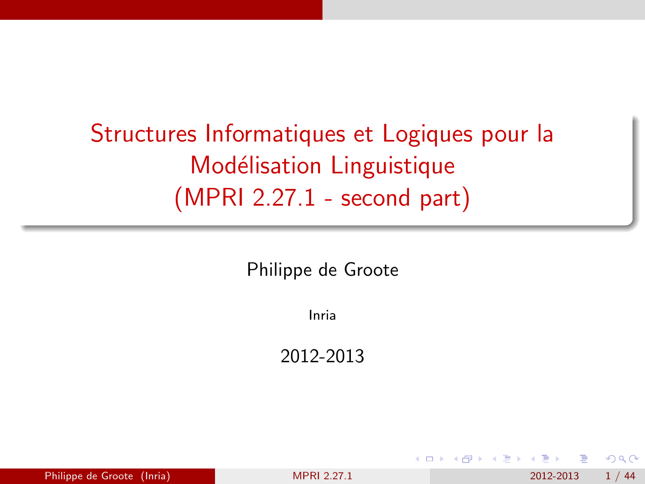# <span id="page-0-0"></span>Structures Informatiques et Logiques pour la Modélisation Linguistique (MPRI 2.27.1 - second part)

Philippe de Groote

Inria

2012-2013

| Philippe de Groote (Inria)<br>2012-2013<br><b>MPRI 2.27.1</b> |  | 1 / 44 |
|---------------------------------------------------------------|--|--------|
|---------------------------------------------------------------|--|--------|

 $\Omega$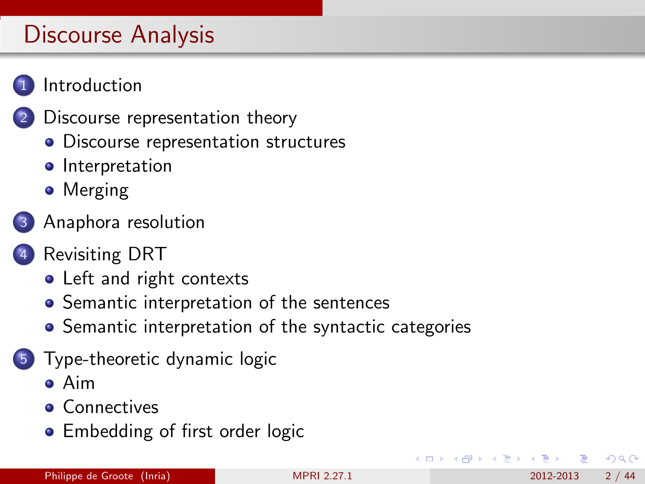

- [Discourse representation theory](#page-4-0)
- [Discourse representation structures](#page-5-0)
- **•** [Interpretation](#page-8-0)
- **•** [Merging](#page-10-0)
- 3 [Anaphora resolution](#page-12-0)
- [Revisiting DRT](#page-16-0)
	- [Left and right contexts](#page-17-0)
	- [Semantic interpretation of the sentences](#page-20-0)
	- **•** [Semantic interpretation of the syntactic categories](#page-26-0)
- 5 [Type-theoretic dynamic logic](#page-29-0)
	- [Aim](#page-30-0)
	- **[Connectives](#page-33-0)**
	- **[Embedding of first order logic](#page-39-0)**

 $\Omega$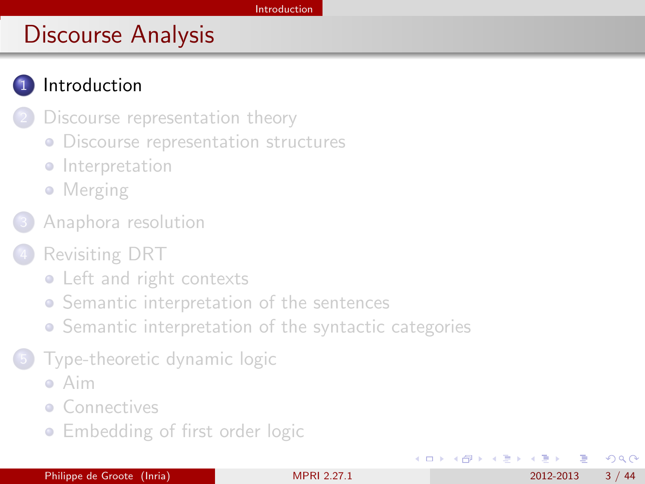## <span id="page-2-0"></span>**[Introduction](#page-2-0)**

- [Discourse representation theory](#page-4-0)
- **[Discourse representation structures](#page-5-0)**
- **·** [Interpretation](#page-8-0)
- **•** [Merging](#page-10-0)
- [Anaphora resolution](#page-12-0)
- [Revisiting DRT](#page-16-0)
	- [Left and right contexts](#page-17-0)
	- **•** [Semantic interpretation of the sentences](#page-20-0)
	- [Semantic interpretation of the syntactic categories](#page-26-0)
	- 5 [Type-theoretic dynamic logic](#page-29-0)
		- [Aim](#page-30-0)
		- **[Connectives](#page-33-0)**
		- **[Embedding of first order logic](#page-39-0)**

**← ロ ▶ → イ 同** 

 $\Omega$ 

化重新润滑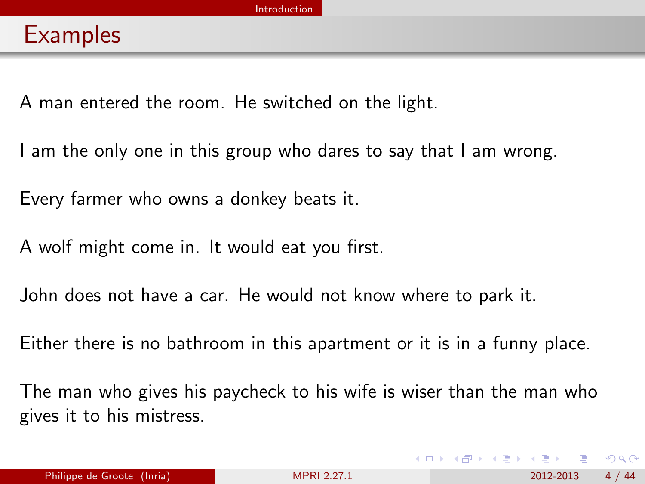<span id="page-3-0"></span>A man entered the room. He switched on the light.

I am the only one in this group who dares to say that I am wrong.

Every farmer who owns a donkey beats it.

A wolf might come in. It would eat you first.

John does not have a car. He would not know where to park it.

Either there is no bathroom in this apartment or it is in a funny place.

The man who gives his paycheck to his wife is wiser than the man who gives it to his mistress.

 $\Omega$ 

化重复 化重变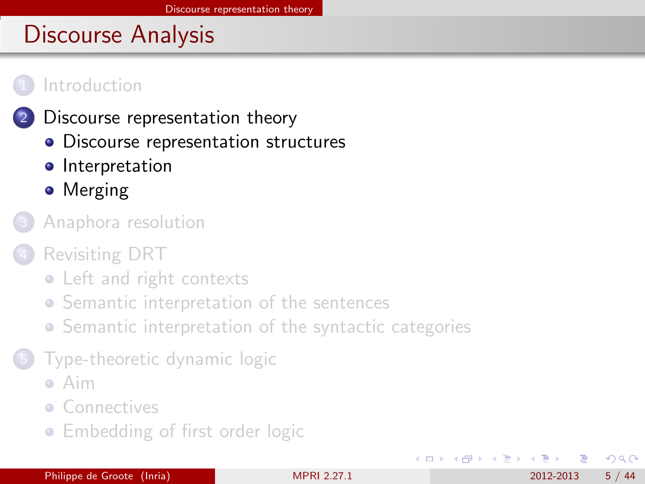#### <span id="page-4-0"></span>**[Introduction](#page-2-0)**

#### [Discourse representation theory](#page-4-0)

- [Discourse representation structures](#page-5-0)
- **•** [Interpretation](#page-8-0)
- **•** [Merging](#page-10-0)
- [Anaphora resolution](#page-12-0)
- [Revisiting DRT](#page-16-0)
	- [Left and right contexts](#page-17-0)
	- **•** [Semantic interpretation of the sentences](#page-20-0)
	- **•** [Semantic interpretation of the syntactic categories](#page-26-0)
	- 5 [Type-theoretic dynamic logic](#page-29-0)
		- [Aim](#page-30-0)
		- **[Connectives](#page-33-0)**
		- **[Embedding of first order logic](#page-39-0)**

4 D F

ほうしょ 国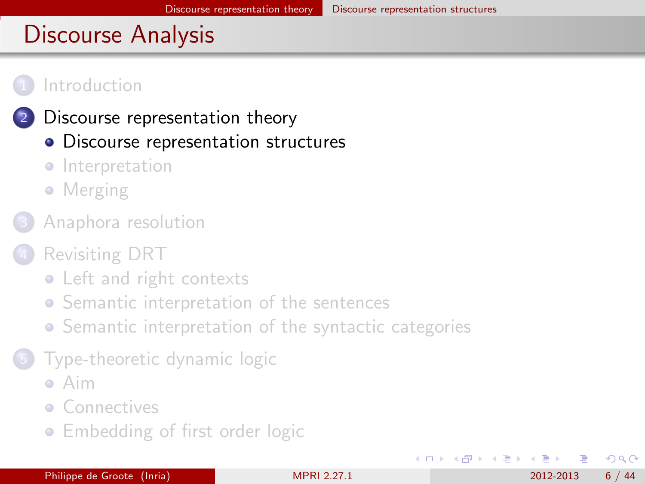<span id="page-5-0"></span>

#### [Discourse representation theory](#page-4-0)

- [Discourse representation structures](#page-5-0)
- **·** [Interpretation](#page-8-0)
- [Merging](#page-10-0)
- [Anaphora resolution](#page-12-0)
- [Revisiting DRT](#page-16-0)
	- [Left and right contexts](#page-17-0)
	- **•** [Semantic interpretation of the sentences](#page-20-0)
	- **•** [Semantic interpretation of the syntactic categories](#page-26-0)
	- 5 [Type-theoretic dynamic logic](#page-29-0)
		- [Aim](#page-30-0)
		- **[Connectives](#page-33-0)**
		- **[Embedding of first order logic](#page-39-0)**

 $200$ 

K 등 ▶ K 등

**∢ ロ ▶ ィ 何**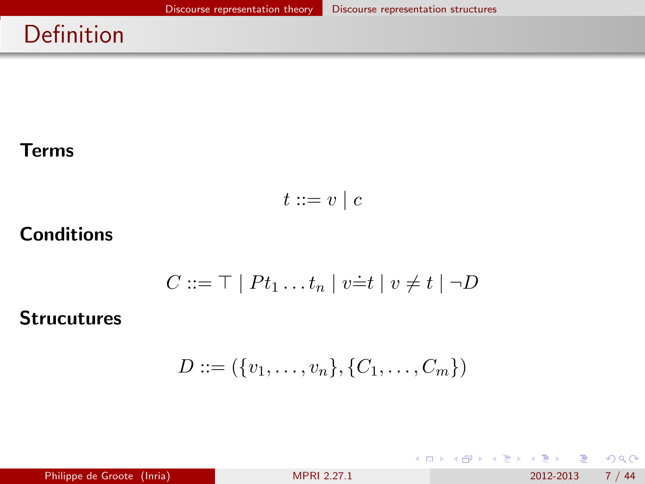# <span id="page-6-0"></span>Definition

#### Terms

$$
t ::= v \mid c
$$

## **Conditions**

$$
C ::= \top | Pt_1 \dots t_n | v \dot{=} t | v \neq t | \neg D
$$

#### **Strucutures**

$$
D ::= (\{v_1, \ldots, v_n\}, \{C_1, \ldots, C_m\})
$$

 $298$ 

イロト イ部 トメ ヨ トメ ヨト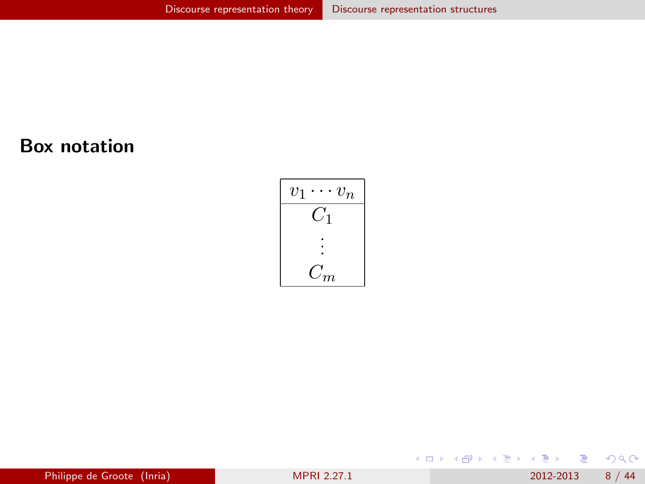#### <span id="page-7-0"></span>Box notation



 $298$ 

イロト イ部 トメ ヨ トメ ヨト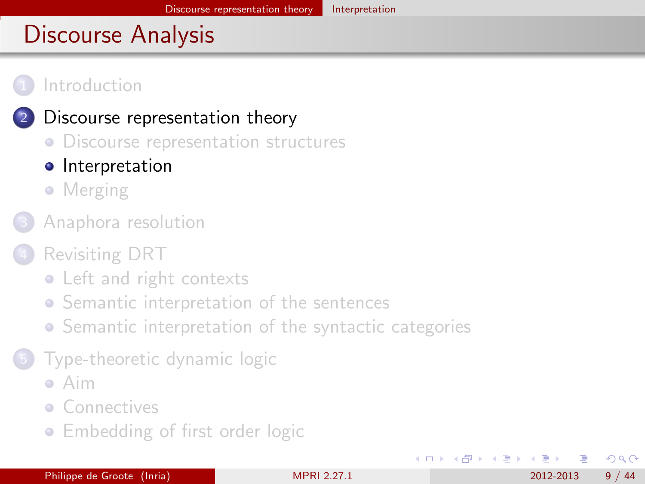#### <span id="page-8-0"></span>**[Introduction](#page-2-0)**

### [Discourse representation theory](#page-4-0)

- **[Discourse representation structures](#page-5-0)**
- **•** [Interpretation](#page-8-0)
- [Merging](#page-10-0)
- [Anaphora resolution](#page-12-0)
- [Revisiting DRT](#page-16-0)
	- [Left and right contexts](#page-17-0)
	- **•** [Semantic interpretation of the sentences](#page-20-0)
	- **•** [Semantic interpretation of the syntactic categories](#page-26-0)
	- 5 [Type-theoretic dynamic logic](#page-29-0)
		- [Aim](#page-30-0)
		- **[Connectives](#page-33-0)**
		- **[Embedding of first order logic](#page-39-0)**

 $200$ 

K 등 ▶ K 등

**∢ ロ ▶ ィ 何**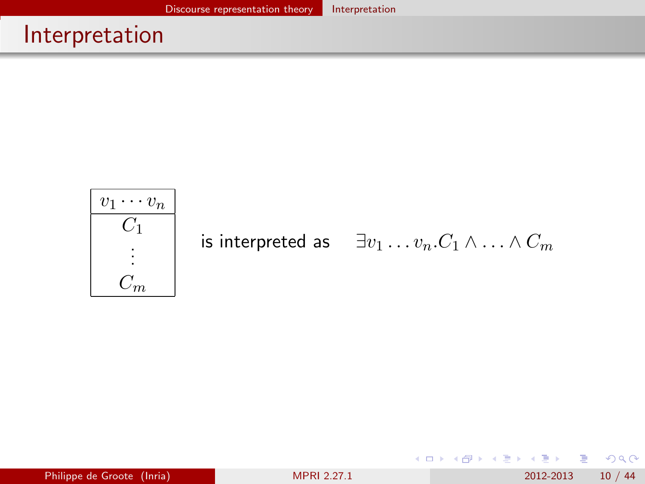## <span id="page-9-0"></span>Interpretation



**← ロ ▶ → イ 同** 

 $\rightarrow$ 

| ④ 重 ※ ④ 重 》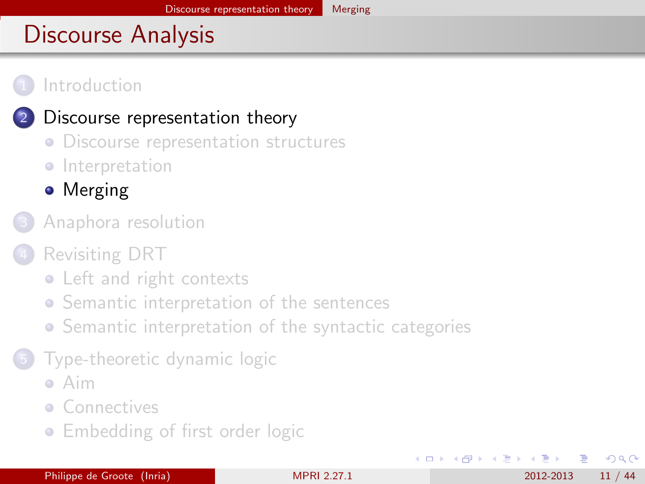#### <span id="page-10-0"></span>**[Introduction](#page-2-0)**

### [Discourse representation theory](#page-4-0)

- **[Discourse representation structures](#page-5-0)**
- **·** [Interpretation](#page-8-0)
- **•** [Merging](#page-10-0)
- [Anaphora resolution](#page-12-0)
- [Revisiting DRT](#page-16-0)
	- [Left and right contexts](#page-17-0)
	- **•** [Semantic interpretation of the sentences](#page-20-0)
	- **•** [Semantic interpretation of the syntactic categories](#page-26-0)
	- 5 [Type-theoretic dynamic logic](#page-29-0)
		- [Aim](#page-30-0)
		- **[Connectives](#page-33-0)**
		- **[Embedding of first order logic](#page-39-0)**

 $200$ 

す唐をす

**∢ ロ ▶ ィ 何**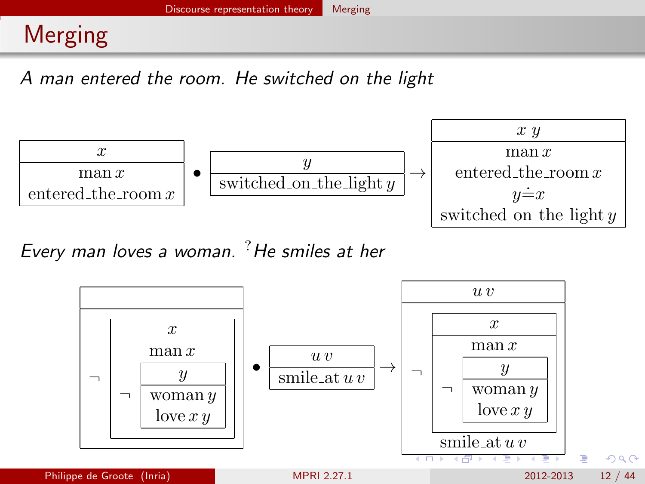# <span id="page-11-0"></span>Merging

A man entered the room. He switched on the light



Every man loves a woman.  ${}^{?}$  He smiles at her

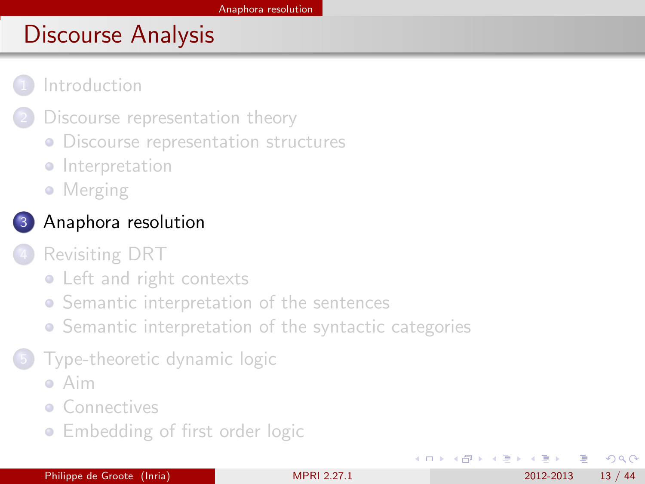#### <span id="page-12-0"></span>**[Introduction](#page-2-0)**

- [Discourse representation theory](#page-4-0)
- **[Discourse representation structures](#page-5-0)**
- **·** [Interpretation](#page-8-0)
- [Merging](#page-10-0)
- [Anaphora resolution](#page-12-0)
- [Revisiting DRT](#page-16-0)
	- [Left and right contexts](#page-17-0)
	- **•** [Semantic interpretation of the sentences](#page-20-0)
	- **•** [Semantic interpretation of the syntactic categories](#page-26-0)
- 5 [Type-theoretic dynamic logic](#page-29-0)
	- [Aim](#page-30-0)
	- **[Connectives](#page-33-0)**
	- **[Embedding of first order logic](#page-39-0)**

**∢ ロ ▶ ィ 何** 

化重 经不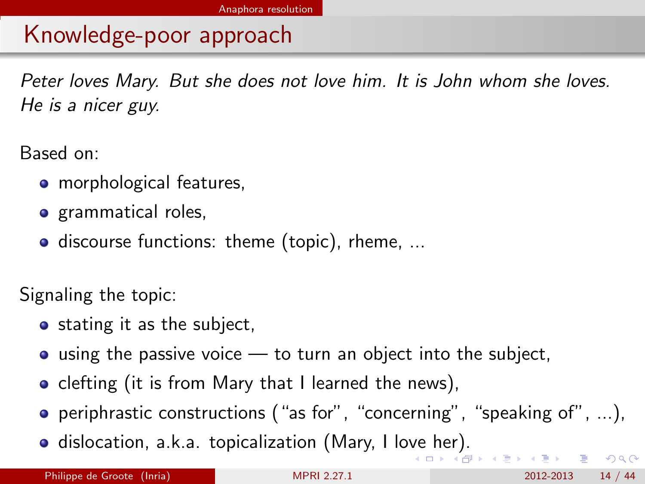# <span id="page-13-0"></span>Knowledge-poor approach

Peter loves Mary. But she does not love him. It is John whom she loves. He is a nicer guy.

Based on:

- **o** morphological features.
- **o** grammatical roles,
- discourse functions: theme (topic), rheme, ...

Signaling the topic:

- stating it as the subject,
- $\bullet$  using the passive voice  $\leftarrow$  to turn an object into the subject,
- clefting (it is from Mary that I learned the news),
- **•** periphrastic constructions ("as for", "concerning", "speaking of", ...),
- dislocation, a.k.a. topicalization (Mary, I lo[ve](#page-12-0) [he](#page-14-0)[r](#page-12-0)[\).](#page-13-0)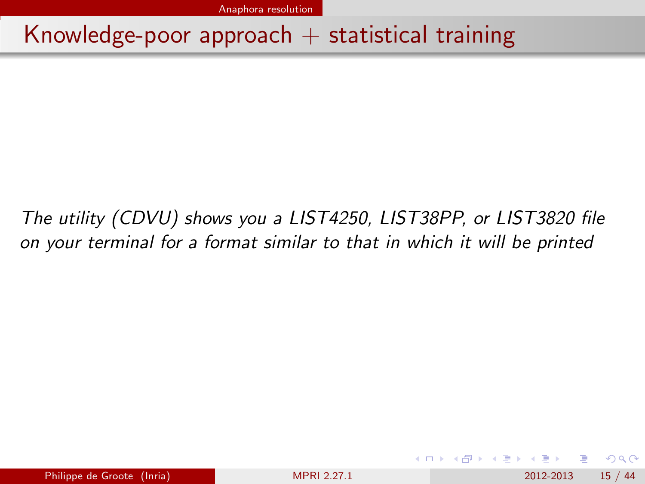[Anaphora resolution](#page-14-0)

## <span id="page-14-0"></span>Knowledge-poor approach  $+$  statistical training

The utility (CDVU) shows you a LIST4250, LIST38PP, or LIST3820 file on your terminal for a format similar to that in which it will be printed

 $QQ$ 

化重新润滑脂

**∢ ロ ▶ ィ 何**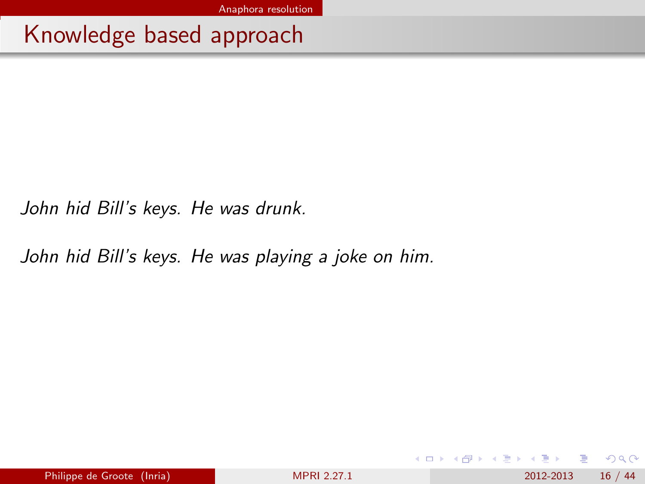<span id="page-15-0"></span>Knowledge based approach

John hid Bill's keys. He was drunk.

John hid Bill's keys. He was playing a joke on him.

**← ロ ▶ → イ 同** 

 $QQ$ 

医单位 医单位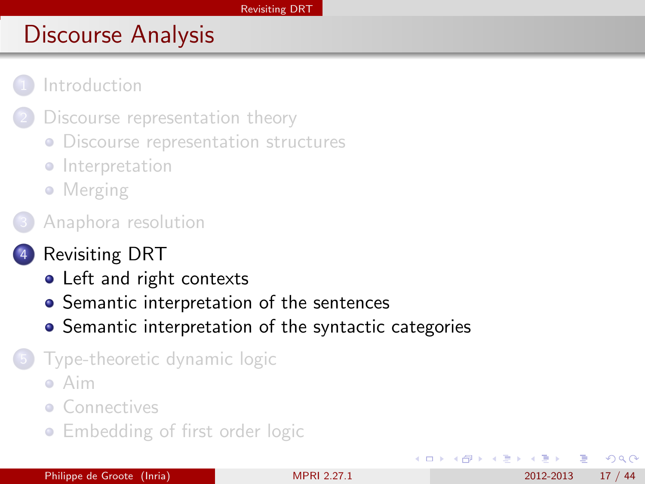<span id="page-16-0"></span>

- [Discourse representation theory](#page-4-0)
- **[Discourse representation structures](#page-5-0)**
- **·** [Interpretation](#page-8-0)
- [Merging](#page-10-0)
- [Anaphora resolution](#page-12-0)
- [Revisiting DRT](#page-16-0)
	- [Left and right contexts](#page-17-0)
	- [Semantic interpretation of the sentences](#page-20-0)
	- **•** [Semantic interpretation of the syntactic categories](#page-26-0)
	- 5 [Type-theoretic dynamic logic](#page-29-0)
		- [Aim](#page-30-0)
		- **[Connectives](#page-33-0)**
		- **[Embedding of first order logic](#page-39-0)**

∢ ロ ≯ → イ印

4. B. K. 4.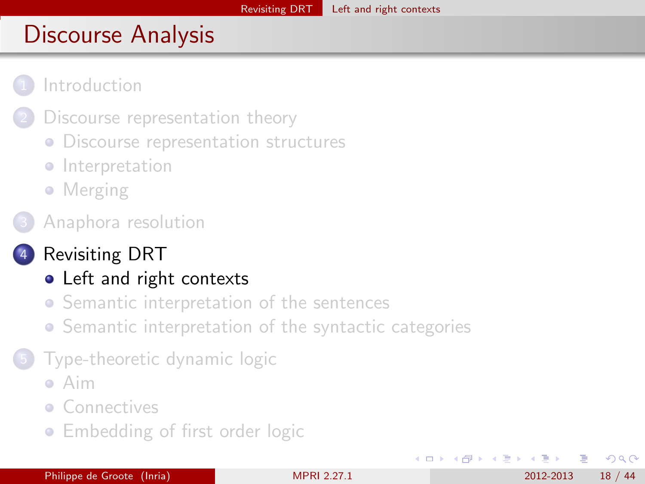<span id="page-17-0"></span>

- [Discourse representation theory](#page-4-0)
- **[Discourse representation structures](#page-5-0)**
- **·** [Interpretation](#page-8-0)
- [Merging](#page-10-0)
- [Anaphora resolution](#page-12-0)
	- [Revisiting DRT](#page-16-0)
		- [Left and right contexts](#page-17-0)
		- **•** [Semantic interpretation of the sentences](#page-20-0)
		- **•** [Semantic interpretation of the syntactic categories](#page-26-0)
	- 5 [Type-theoretic dynamic logic](#page-29-0)
		- [Aim](#page-30-0)
		- **[Connectives](#page-33-0)**
		- **[Embedding of first order logic](#page-39-0)**

4 D F

化医头头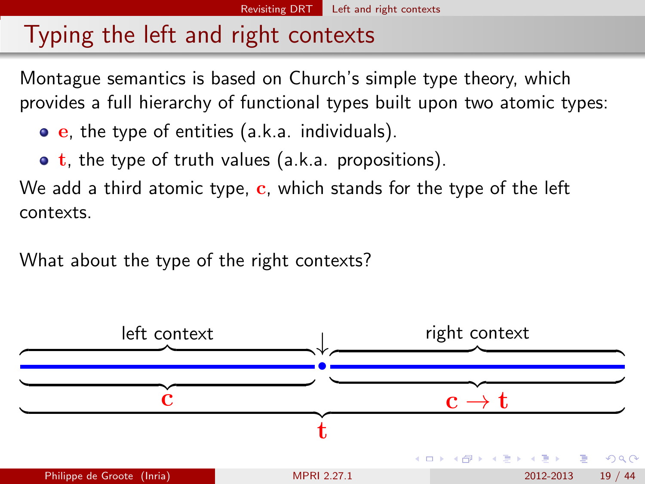# <span id="page-18-0"></span>Typing the left and right contexts

Montague semantics is based on Church's simple type theory, which provides a full hierarchy of functional types built upon two atomic types:

- $\bullet$  e, the type of entities (a.k.a. individuals).
- $\bullet$  t, the type of truth values (a.k.a. propositions).

We add a third atomic type,  $c$ , which stands for the type of the left contexts.

What about the type of the right contexts?

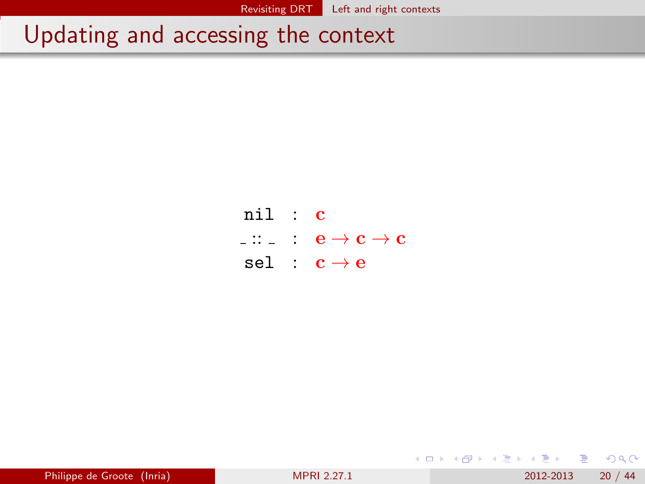# <span id="page-19-0"></span>Updating and accessing the context

| nil : c |                                                                                                                  |
|---------|------------------------------------------------------------------------------------------------------------------|
|         | $\overline{\phantom{a}}$ : $\overline{\phantom{a}}$ : $\overline{\phantom{a}}$ e $\rightarrow$ c $\rightarrow$ c |
|         | sel : $c \rightarrow e$                                                                                          |

| Philippe de Groote (Inria) | <b>MPRI 2.27.1</b> | 20/44<br>2012-2013 |  |
|----------------------------|--------------------|--------------------|--|
|                            |                    |                    |  |

4 0 8

画

重

4. B. K. 4.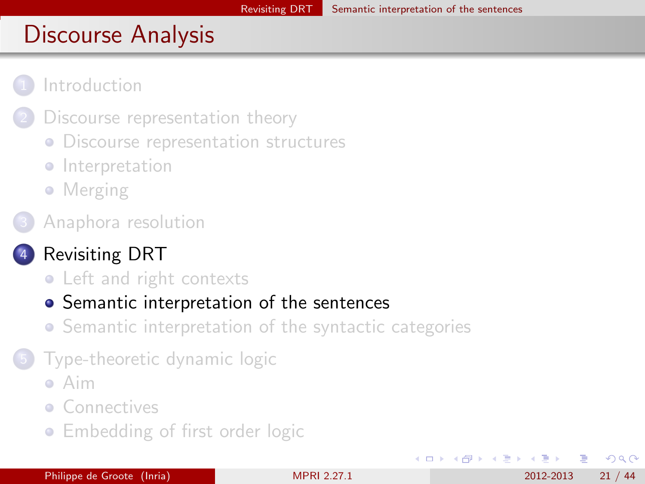<span id="page-20-0"></span>

- [Discourse representation theory](#page-4-0)
- **[Discourse representation structures](#page-5-0)**
- **·** [Interpretation](#page-8-0)
- [Merging](#page-10-0)
- [Anaphora resolution](#page-12-0)

## [Revisiting DRT](#page-16-0)

- [Left and right contexts](#page-17-0)
- [Semantic interpretation of the sentences](#page-20-0)
- **•** [Semantic interpretation of the syntactic categories](#page-26-0)
- 5 [Type-theoretic dynamic logic](#page-29-0)
	- [Aim](#page-30-0)
	- **[Connectives](#page-33-0)**
	- **[Embedding of first order logic](#page-39-0)**

∢ ロ ≯ → イ印

∢ ∃ ⊁ ∢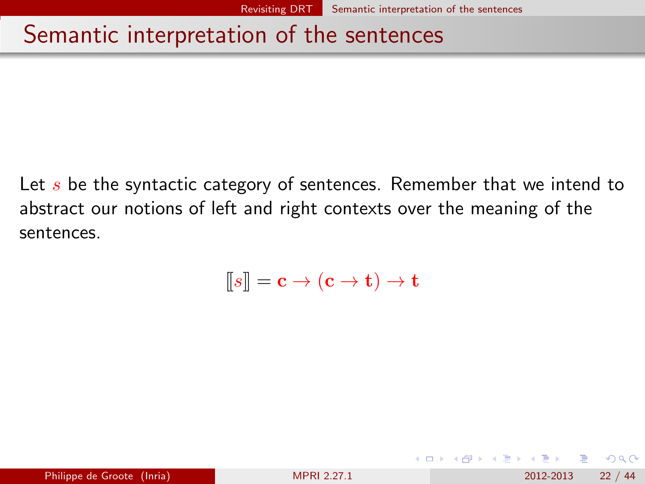## <span id="page-21-0"></span>Semantic interpretation of the sentences

Let  $s$  be the syntactic category of sentences. Remember that we intend to abstract our notions of left and right contexts over the meaning of the sentences.

$$
[\hspace{-1.5pt}[ s]\hspace{-1.5pt}] = \mathbf{c} \to (\mathbf{c} \to \mathbf{t}) \to \mathbf{t}
$$

 $\Omega$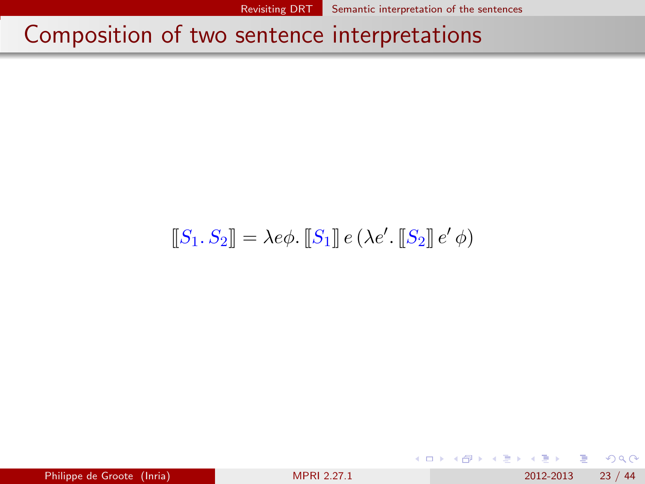## <span id="page-22-0"></span>Composition of two sentence interpretations

$$
\llbracket S_1, S_2 \rrbracket = \lambda e \phi. \llbracket S_1 \rrbracket e (\lambda e'. \llbracket S_2 \rrbracket e' \phi)
$$

 $298$ 

K 등 > < 등

**← ロ ▶ → イ 同**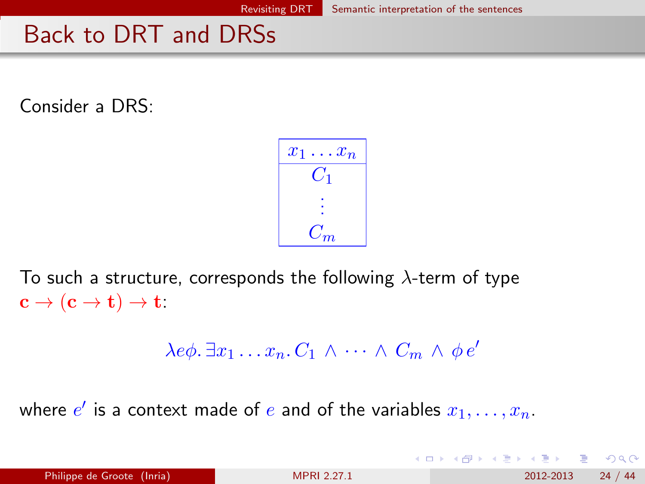## <span id="page-23-0"></span>Back to DRT and DRSs

Consider a DRS:

$$
\begin{array}{|c|}\n\hline\nx_1 \dots x_n \\
\hline\nC_1 \\
\vdots \\
C_m\n\end{array}
$$

To such a structure, corresponds the following  $\lambda$ -term of type  $c \to (c \to t) \to t$ :

$$
\lambda e\phi \cdot \exists x_1 \ldots x_n \cdot C_1 \wedge \cdots \wedge C_m \wedge \phi e'
$$

where  $e'$  is a context made of  $e$  and of the variables  $x_1, \ldots, x_n.$ 

| Philippe de Groote (Inria) | <b>MPRI 2.27.1</b> | 24/44<br>2012-2013 |
|----------------------------|--------------------|--------------------|
|                            |                    |                    |

 $QQ$ 

イロト イ部 トメ ヨ トメ ヨト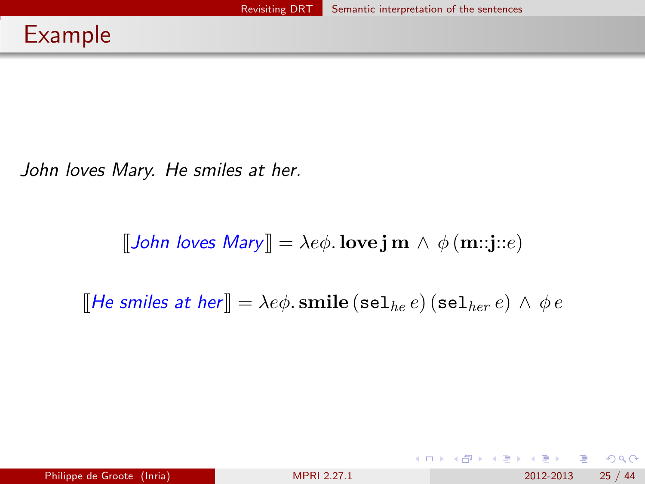<span id="page-24-0"></span>John loves Mary. He smiles at her.

 $[\![John\! \mid \! \text{loves} \; \! Mary \! \mid \! \mid = \lambda e\phi \cdot \text{love} \; \! \text{jm} \wedge \phi \; \! (\mathbf{m}::\! \! \text{j}::\! e)$ 

[He smiles at her]] =  $\lambda e\phi$ . smile (sel<sub>he</sub> e) (sel<sub>her</sub> e)  $\wedge \phi e$ 

 $QQ$ 

 $\left\{ \begin{array}{ccc} 1 & 0 & 0 \\ 0 & 1 & 0 \end{array} \right.$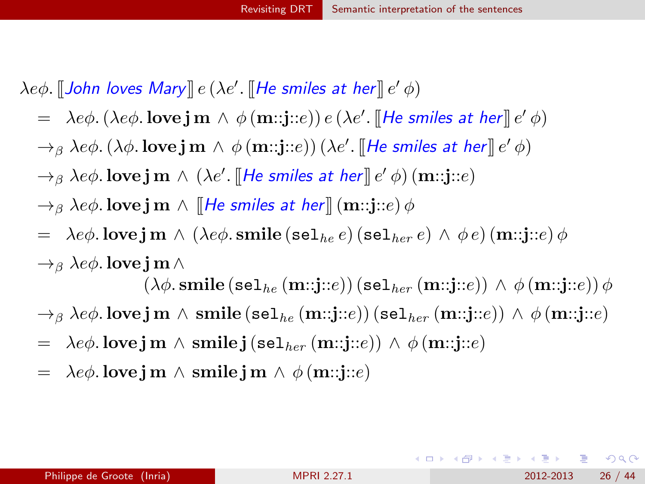<span id="page-25-0"></span> $\lambda e\phi$ . [[John loves Mary]]  $e$   $(\lambda e'.$  [[He smiles at her]]  $e'\,\phi)$ 

- $\phi = \lambda e \phi.$   $(\lambda e \phi.$  love  $\mathbf{j} \mathbf{m} \wedge \phi(\mathbf{m}::\mathbf{j}::e)) e (\lambda e'.$  [[He smiles at her]]  $e' \phi$ )
- $\to_\beta \lambda e\phi$ .  $(\lambda\phi.$  love  $\mathbf{j}$   $\text{m} \wedge \phi(\textbf{m}::\mathbf{j}::e))$   $(\lambda e'.$  [[He smiles at her]]  $e'\,\phi$ )
- $\rightarrow$ <sub>β</sub> λe $\phi$ . love j  $\textbf{m} \wedge (\lambda e'.$  [[He smiles at her]]  $e'$   $\phi$ )  $(\textbf{m}::\textbf{j}::\textbf{e})$
- $\rightarrow$ <sub>β</sub> λe $\phi$ . love j m  $\land$  [He smiles at her]] (m::j::e)  $\phi$
- =  $\lambda e\phi$ . love j m  $\wedge$  ( $\lambda e\phi$ . smile (sel<sub>he</sub> e) (sel<sub>her</sub> e)  $\wedge \phi e$ ) (m::j::e)  $\phi$  $\rightarrow$ <sub>β</sub> λe $\phi$ . love j m  $\wedge$

 $(\lambda \phi \text{.smile}(\text{sel}_{he}(\text{m::}j::e)) (\text{sel}_{her}(\text{m::}j::e)) \wedge \phi(\text{m::}j::e)) \phi$  $\rightarrow$ <sub>β</sub> λe $\phi$ . love j m  $\land$  smile (sel<sub>he</sub> (m::j::e)) (sel<sub>her</sub> (m::j::e))  $\land$   $\phi$  (m::j::e)

- $= \lambda e \phi$ . love j m  $\wedge$  smile j (sel<sub>her</sub> (m::j::e))  $\wedge \phi$  (m::j::e)
- $= \lambda e \phi$ . love j m  $\wedge$  smile j m  $\wedge \phi$  (m::j::e)

**KOD KARD KED KED E VAN**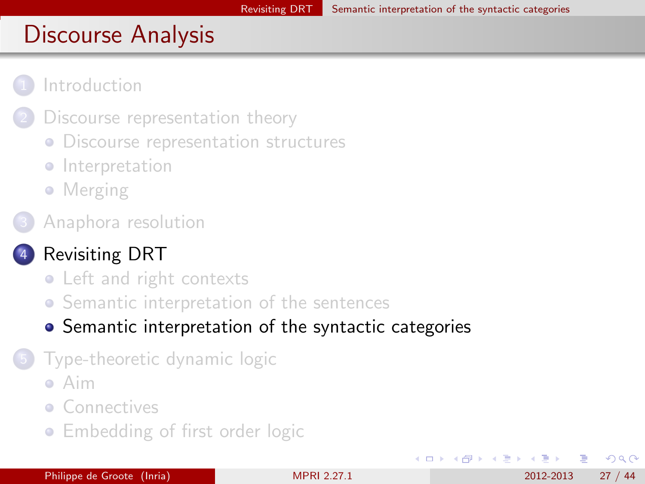<span id="page-26-0"></span>

- [Discourse representation theory](#page-4-0)
- **[Discourse representation structures](#page-5-0)**
- **·** [Interpretation](#page-8-0)
- [Merging](#page-10-0)
- [Anaphora resolution](#page-12-0)

## [Revisiting DRT](#page-16-0)

- [Left and right contexts](#page-17-0)
- **•** [Semantic interpretation of the sentences](#page-20-0)
- [Semantic interpretation of the syntactic categories](#page-26-0)
- 5 [Type-theoretic dynamic logic](#page-29-0)
	- [Aim](#page-30-0)
	- **[Connectives](#page-33-0)**
	- **[Embedding of first order logic](#page-39-0)**

∢ ロ ≯ → イ印

化医头头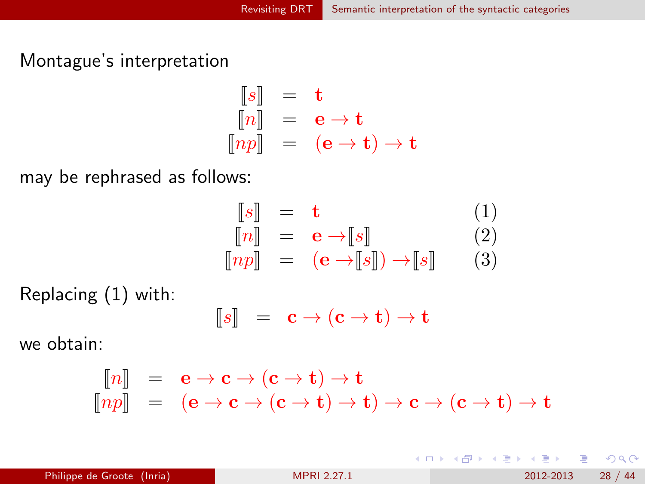<span id="page-27-0"></span>Montague's interpretation

$$
\begin{array}{rcl}\n[s] & = & \mathbf{t} \\
[n] & = & \mathbf{e} \to \mathbf{t} \\
[np] & = & (\mathbf{e} \to \mathbf{t}) \to \mathbf{t}\n\end{array}
$$

may be rephrased as follows:

$$
\begin{array}{rcl}\n[s] &= \mathbf{t} & (1) \\
[n] &= \mathbf{e} \rightarrow [s] & (2) \\
[np] &= (\mathbf{e} \rightarrow [s]) \rightarrow [s] & (3)\n\end{array}
$$

Replacing (1) with:

$$
\llbracket s \rrbracket = \mathbf{c} \to (\mathbf{c} \to \mathbf{t}) \to \mathbf{t}
$$

we obtain:

$$
\begin{array}{rcl}\n[\![n]\!] &=& \mathbf{e} \to \mathbf{c} \to (\mathbf{c} \to \mathbf{t}) \to \mathbf{t} \\
[\![np]\!] &=& (\mathbf{e} \to \mathbf{c} \to (\mathbf{c} \to \mathbf{t}) \to \mathbf{t}) \to \mathbf{c} \to (\mathbf{c} \to \mathbf{t}) \to \mathbf{t}\n\end{array}
$$

Philippe de Groote (Inria) **[MPRI 2.27.1](#page-0-0)** 2012-2013 28 / 44

D.

イロト イ押ト イヨト イヨト

 $QQ$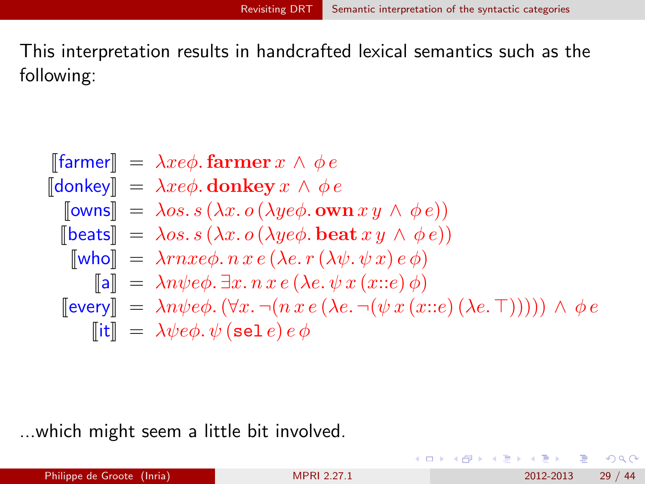<span id="page-28-0"></span>This interpretation results in handcrafted lexical semantics such as the following:

$$
\begin{array}{lll}\n\text{[farmer]} & = & \lambda x e \phi. \text{farmer } x \wedge \phi e \\
\text{[donkey]} & = & \lambda x e \phi. \text{ donkey } x \wedge \phi e \\
\text{[owns]} & = & \lambda os. s \ (\lambda x. o \ (\lambda y e \phi. \text{ own } x y \wedge \phi e)) \\
\text{[beats]} & = & \lambda os. s \ (\lambda x. o \ (\lambda y e \phi. \text{ beat } x y \wedge \phi e)) \\
\text{[who]} & = & \lambda r n x e \phi. n x e \ (\lambda e. r \ (\lambda \psi. \psi x) e \phi) \\
\text{[a]} & = & \lambda n \psi e \phi. \exists x. n x e \ (\lambda e. \psi x \ (\text{x::}e) \ \phi) \\
\text{[every]} & = & \lambda n \psi e \phi. \ (\forall x. \neg (n x e \ (\lambda e. \neg (\psi x \ (\text{x::}e) \ (\lambda e. \top))))) \ \wedge \ \phi e \\
\text{[it]} & = & \lambda \psi e \phi. \ \psi \ (\text{sel } e) \ e \phi\n\end{array}
$$

...which might seem a little bit involved.

Philippe de Groote (Inria) [MPRI 2.27.1](#page-0-0) 2012-2013 29 / 44

D.

 $QQ$ 

 $\left\{ \begin{array}{ccc} 1 & 0 & 0 \\ 0 & 1 & 0 \end{array} \right.$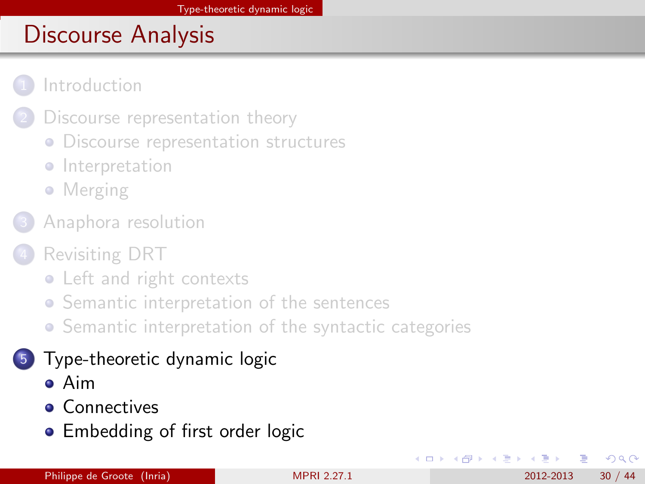<span id="page-29-0"></span>

- [Discourse representation theory](#page-4-0)
- **[Discourse representation structures](#page-5-0)**
- **·** [Interpretation](#page-8-0)
- [Merging](#page-10-0)
- [Anaphora resolution](#page-12-0)
- [Revisiting DRT](#page-16-0)
	- [Left and right contexts](#page-17-0)
	- **•** [Semantic interpretation of the sentences](#page-20-0)
	- [Semantic interpretation of the syntactic categories](#page-26-0)

## 5 [Type-theoretic dynamic logic](#page-29-0)

- [Aim](#page-30-0)
- **[Connectives](#page-33-0)**
- **[Embedding of first order logic](#page-39-0)**

4 0 8

∢ ∃ ⊁ ∢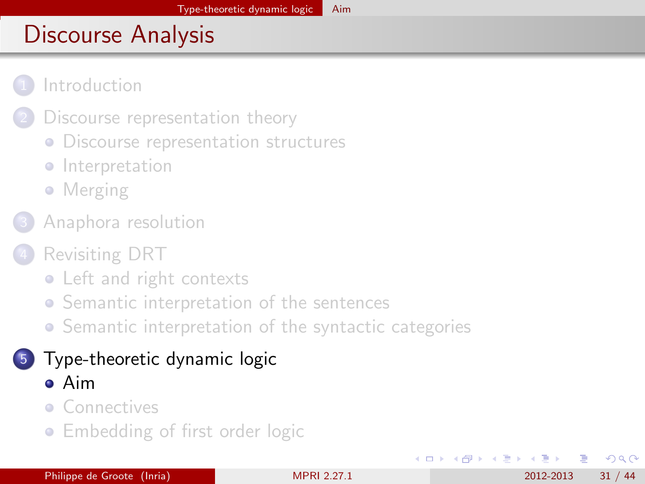#### <span id="page-30-0"></span>**[Introduction](#page-2-0)**

- [Discourse representation theory](#page-4-0)
- **[Discourse representation structures](#page-5-0)**
- **·** [Interpretation](#page-8-0)
- [Merging](#page-10-0)
- [Anaphora resolution](#page-12-0)
- [Revisiting DRT](#page-16-0)
	- [Left and right contexts](#page-17-0)
	- **•** [Semantic interpretation of the sentences](#page-20-0)
	- [Semantic interpretation of the syntactic categories](#page-26-0)

#### 5 [Type-theoretic dynamic logic](#page-29-0) [Aim](#page-30-0)

- **[Connectives](#page-33-0)**
- **[Embedding of first order logic](#page-39-0)**

4 D F

化医头头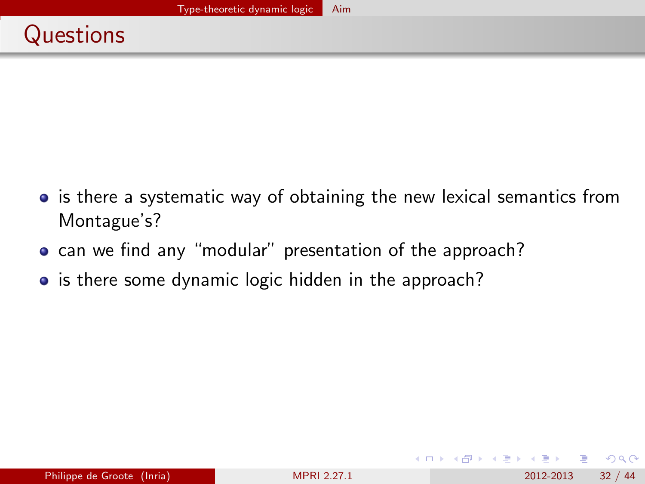- <span id="page-31-0"></span>• is there a systematic way of obtaining the new lexical semantics from Montague's?
- can we find any "modular" presentation of the approach?
- is there some dynamic logic hidden in the approach?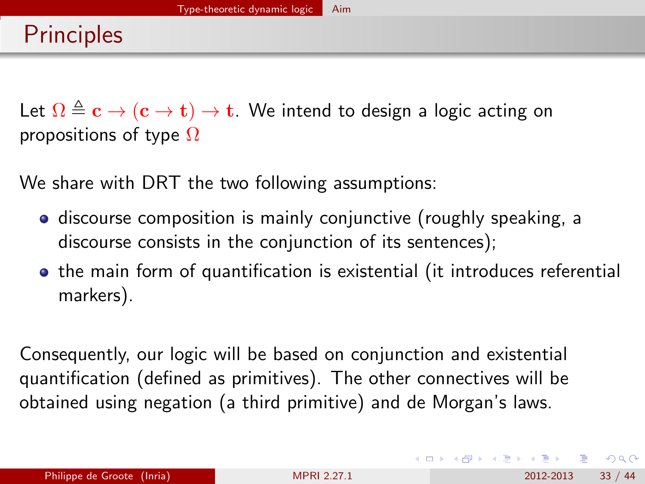<span id="page-32-0"></span>Let  $\Omega \triangleq c \rightarrow (c \rightarrow t) \rightarrow t$ . We intend to design a logic acting on propositions of type  $\Omega$ 

We share with DRT the two following assumptions:

- **•** discourse composition is mainly conjunctive (roughly speaking, a discourse consists in the conjunction of its sentences);
- the main form of quantification is existential (it introduces referential markers).

Consequently, our logic will be based on conjunction and existential quantification (defined as primitives). The other connectives will be obtained using negation (a third primitive) and de Morgan's laws.

 $QQQ$ 

KONKAPIK KENYEN E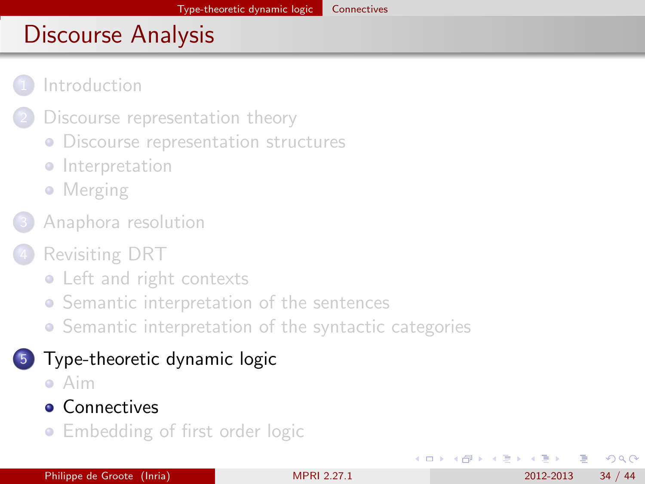#### <span id="page-33-0"></span>**[Introduction](#page-2-0)**

- [Discourse representation theory](#page-4-0)
- **[Discourse representation structures](#page-5-0)**
- **·** [Interpretation](#page-8-0)
- [Merging](#page-10-0)
- [Anaphora resolution](#page-12-0)
- [Revisiting DRT](#page-16-0)
	- [Left and right contexts](#page-17-0)
	- **•** [Semantic interpretation of the sentences](#page-20-0)
	- [Semantic interpretation of the syntactic categories](#page-26-0)

## 5 [Type-theoretic dynamic logic](#page-29-0)

- [Aim](#page-30-0)
- **[Connectives](#page-33-0)**
- **[Embedding of first order logic](#page-39-0)**

4 D F

∢ ∃ ⊁ ∢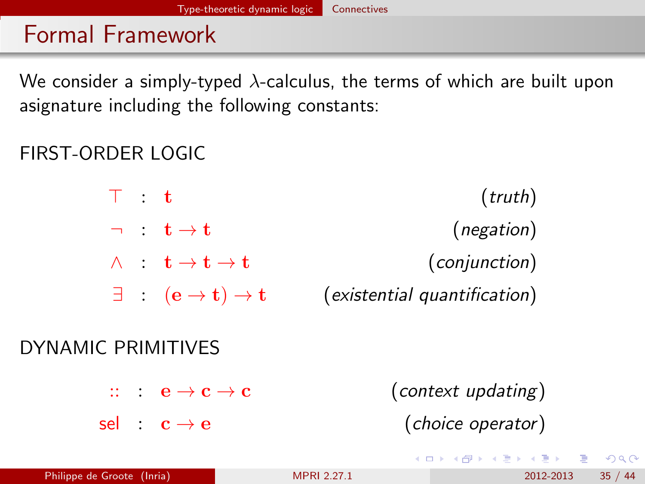# <span id="page-34-0"></span>Formal Framework

We consider a simply-typed  $\lambda$ -calculus, the terms of which are built upon asignature including the following constants:

## FIRST-ORDER LOGIC

 $\top$  : t (truth)  $\lnot$  :  $t \rightarrow t$  (negation)  $\wedge$  :  $\mathbf{t} \to \mathbf{t} \to \mathbf{t}$  (conjunction)  $\exists$  :  $(e \rightarrow t) \rightarrow t$  (existential quantification)

#### DYNAMIC PRIMITIVES

|  | $\therefore$ $e \rightarrow c \rightarrow c$ | (context updating) |
|--|----------------------------------------------|--------------------|
|  | sel : $\mathbf{c} \rightarrow \mathbf{e}$    | (choice operator)  |

 $QQ$ 

イロト イ押ト イヨト イヨト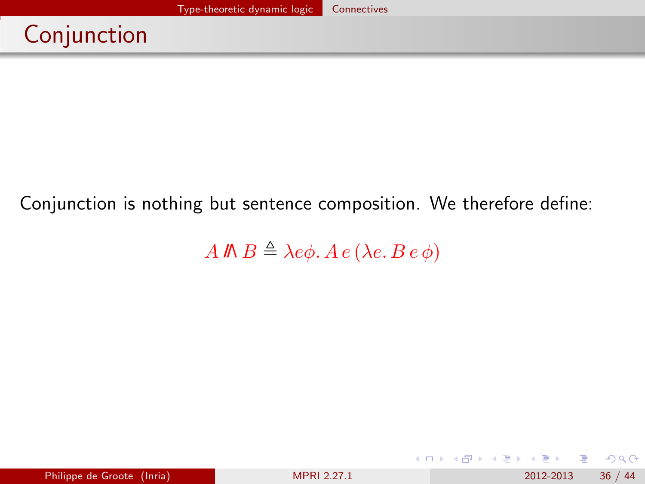# <span id="page-35-0"></span>Conjunction

### Conjunction is nothing but sentence composition. We therefore define:

A  $\mathbb{R} \triangleq \lambda e \phi$ .  $A e (\lambda e. B e \phi)$ 

 $QQ$ 

 $\mathcal{A} \cong \mathcal{B} \times \mathcal{A} \cong \mathcal{B}$ 

**← ロ → → ← 何 →**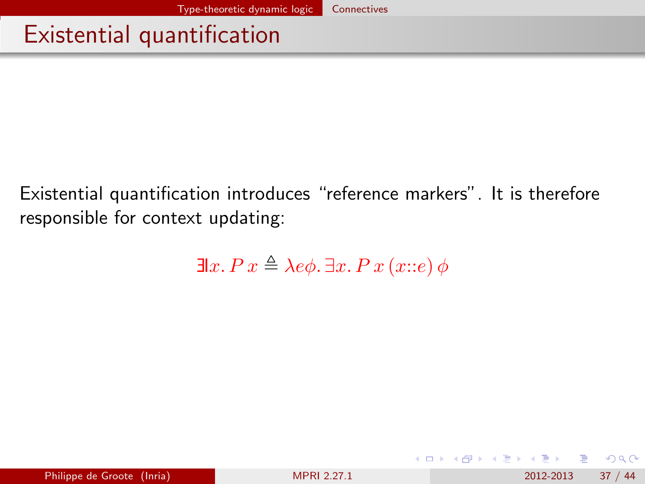## <span id="page-36-0"></span>Existential quantification

Existential quantification introduces "reference markers". It is therefore responsible for context updating:

$$
\exists x. P \, x \triangleq \lambda e \phi. \, \exists x. P \, x \, (x::e) \, \phi
$$

**← ロ ▶ → イ 同** 

 $QQ$ 

化重 网络重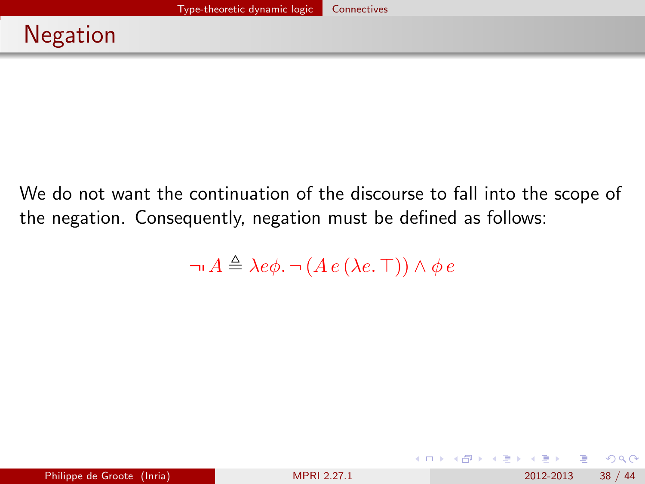<span id="page-37-0"></span>We do not want the continuation of the discourse to fall into the scope of the negation. Consequently, negation must be defined as follows:

 $\neg A \triangleq \lambda e\phi$ .  $\neg (A e (\lambda e. \top)) \wedge \phi e$ 

 $\Omega$ 

イロト イ押ト イヨト イヨト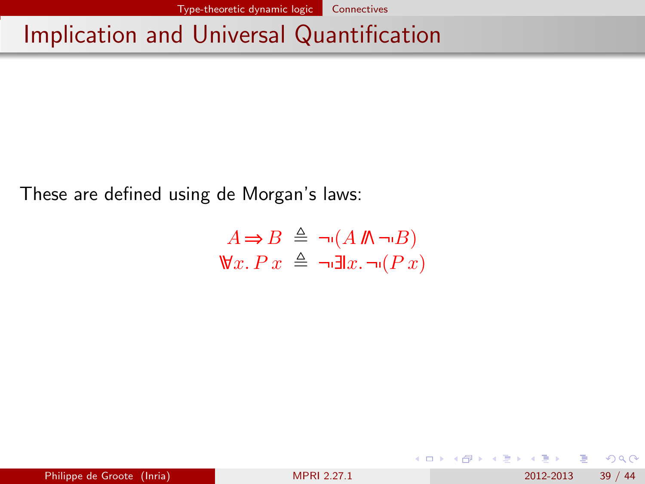# <span id="page-38-0"></span>Implication and Universal Quantification

These are defined using de Morgan's laws:

$$
A \Rightarrow B \triangleq \neg (A \nparallel \neg \neg B)
$$
  

$$
\forall x. Px \triangleq \neg \exists x. \neg (Px)
$$

 $QQ$ 

イロト イ母 トイヨ トイヨト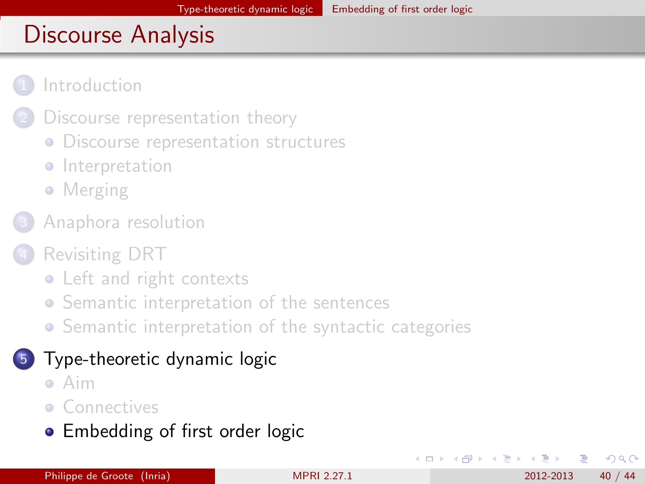<span id="page-39-0"></span>

- [Discourse representation theory](#page-4-0)
- **[Discourse representation structures](#page-5-0)**
- **·** [Interpretation](#page-8-0)
- [Merging](#page-10-0)
- [Anaphora resolution](#page-12-0)
- [Revisiting DRT](#page-16-0)
	- [Left and right contexts](#page-17-0)
	- **•** [Semantic interpretation of the sentences](#page-20-0)
	- [Semantic interpretation of the syntactic categories](#page-26-0)

### 5 [Type-theoretic dynamic logic](#page-29-0)

- [Aim](#page-30-0)
- **[Connectives](#page-33-0)**
- **[Embedding of first order logic](#page-39-0)**

4 0 8

∢ ∃ ⊁ ∢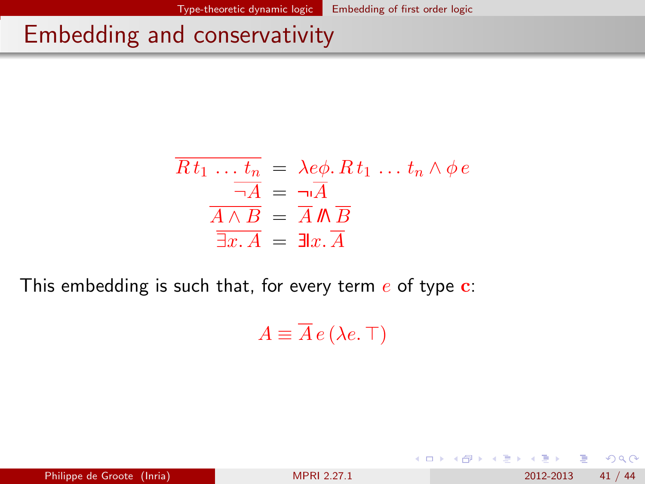## <span id="page-40-0"></span>Embedding and conservativity

$$
\overline{Rt_1 \dots t_n} = \lambda e\phi. Rt_1 \dots t_n \wedge \phi e
$$

$$
\overline{\neg A} = \overline{\neg A}
$$

$$
\overline{A \wedge B} = \overline{A} \mathbb{M} \overline{B}
$$

$$
\overline{\exists x. A} = \exists x. \overline{A}
$$

This embedding is such that, for every term  $e$  of type  $c$ :

 $A \equiv \overline{A} e (\lambda e. \top)$ 

Philippe de Groote (Inria) **[MPRI 2.27.1](#page-0-0)** 2012-2013 41 / 44

**← ロ ▶ → イ 同** 

 $QQ$ 

化重 网络重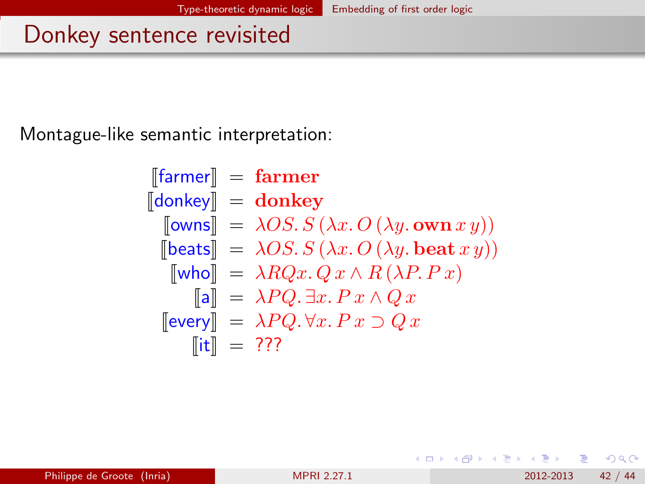## <span id="page-41-0"></span>Donkey sentence revisited

Montague-like semantic interpretation:

$$
\begin{array}{ll}\n[\text{farmer}] & = \text{farmer} \\
[\text{donkey}] & = \text{donkey} \\
[\text{owns}] & = \lambda OS. S \left( \lambda x. O \left( \lambda y. \text{ own } x \, y \right) \right) \\
[\text{beats}] & = \lambda OS. S \left( \lambda x. O \left( \lambda y. \text{ beat } x \, y \right) \right) \\
[\text{who}] & = \lambda RQx. Q \, x \wedge R \left( \lambda P. P \, x \right) \\
[\text{a}] & = \lambda PQ. \exists x. P \, x \wedge Q \, x \\
[\text{every}] & = \lambda PQ. \forall x. P \, x \supset Q \, x \\
[\text{it}] & = ???\n\end{array}
$$

4 日下

 $QQ$ 

舌

∋⊳⊣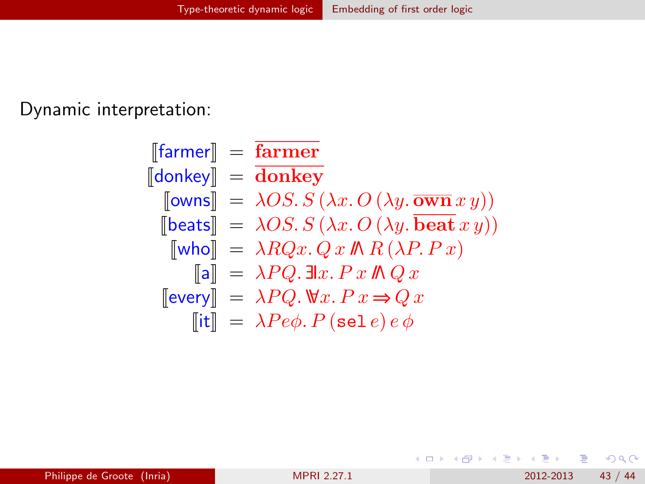<span id="page-42-0"></span>Dynamic interpretation:

$$
\begin{array}{ll}\n[\text{farmer}] & = & \overline{\text{farmer}} \\
[\text{donkey}] & = & \overline{\text{donkey}} \\
[\text{rows}] & = & \lambda OS. S \left(\lambda x. O \left(\lambda y. \overline{\text{own}} x y \right) \right) \\
[\text{beats}] & = & \lambda OS. S \left(\lambda x. O \left(\lambda y. \overline{\text{beat}} x y \right) \right) \\
[\text{who}] & = & \lambda RQx. Q \, x \, \text{ln}(P, Px) \\
[\text{all}] & = & \lambda PQ. \exists l x. Px \, \text{ln}(Qx) \\
[\text{every}] & = & \lambda PQ. \, \forall x. Px \Rightarrow Q \, x \\
[\text{it}] & = & \lambda Pe\phi. P \left(\text{sel } e\right) e \phi\n\end{array}
$$

 $2990$ 

イロト イ部 トメ ヨ トメ ヨト